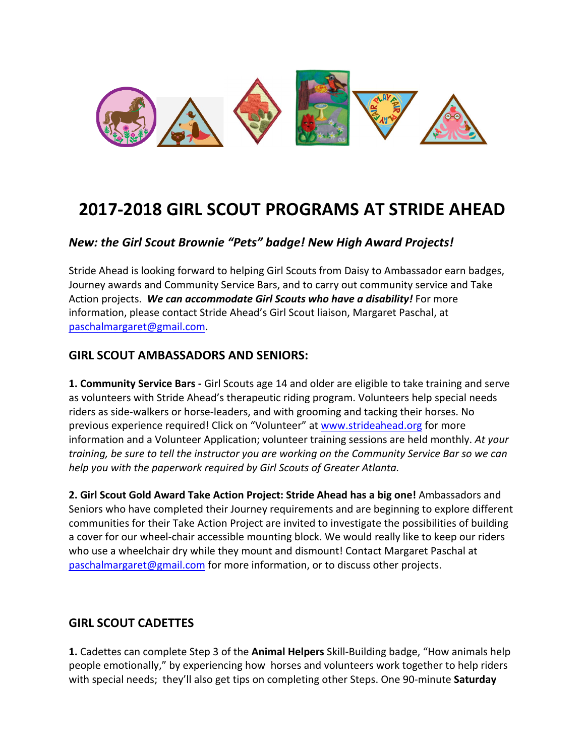

# **2017-2018 GIRL SCOUT PROGRAMS AT STRIDE AHEAD**

## *New: the Girl Scout Brownie "Pets" badge! New High Award Projects!*

Stride Ahead is looking forward to helping Girl Scouts from Daisy to Ambassador earn badges, Journey awards and Community Service Bars, and to carry out community service and Take Action projects. We can accommodate Girl Scouts who have a disability! For more information, please contact Stride Ahead's Girl Scout liaison, Margaret Paschal, at paschalmargaret@gmail.com.

#### **GIRL SCOUT AMBASSADORS AND SENIORS:**

1. Community Service Bars - Girl Scouts age 14 and older are eligible to take training and serve as volunteers with Stride Ahead's therapeutic riding program. Volunteers help special needs riders as side-walkers or horse-leaders, and with grooming and tacking their horses. No previous experience required! Click on "Volunteer" at www.strideahead.org for more information and a Volunteer Application; volunteer training sessions are held monthly. At your *training, be sure to tell the instructor you are working on the Community Service Bar so we can help* you with the paperwork required by Girl Scouts of Greater Atlanta.

**2. Girl Scout Gold Award Take Action Project: Stride Ahead has a big one!** Ambassadors and Seniors who have completed their Journey requirements and are beginning to explore different communities for their Take Action Project are invited to investigate the possibilities of building a cover for our wheel-chair accessible mounting block. We would really like to keep our riders who use a wheelchair dry while they mount and dismount! Contact Margaret Paschal at paschalmargaret@gmail.com for more information, or to discuss other projects.

#### **GIRL SCOUT CADETTES**

**1.** Cadettes can complete Step 3 of the **Animal Helpers** Skill-Building badge, "How animals help people emotionally," by experiencing how horses and volunteers work together to help riders with special needs; they'll also get tips on completing other Steps. One 90-minute **Saturday**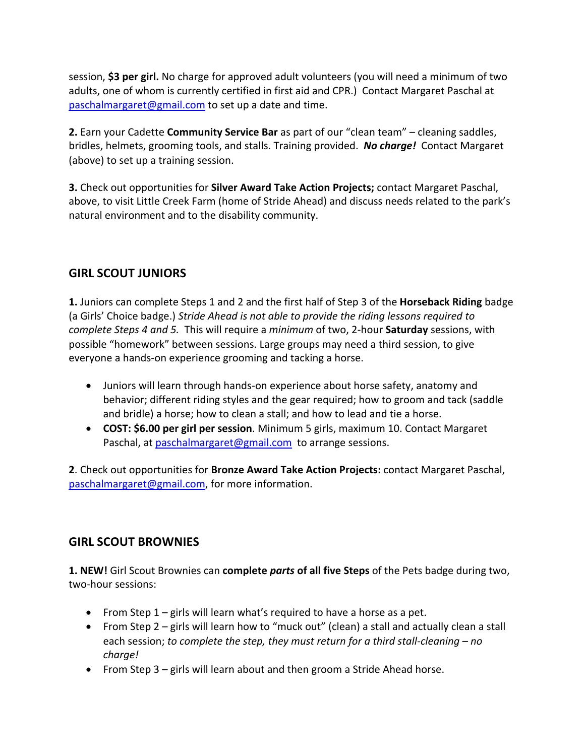session, **\$3 per girl.** No charge for approved adult volunteers (you will need a minimum of two adults, one of whom is currently certified in first aid and CPR.) Contact Margaret Paschal at paschalmargaret@gmail.com to set up a date and time.

**2.** Earn your Cadette **Community Service Bar** as part of our "clean team" – cleaning saddles, bridles, helmets, grooming tools, and stalls. Training provided. No charge! Contact Margaret (above) to set up a training session.

**3.** Check out opportunities for **Silver Award Take Action Projects;** contact Margaret Paschal, above, to visit Little Creek Farm (home of Stride Ahead) and discuss needs related to the park's natural environment and to the disability community.

# **GIRL SCOUT JUNIORS**

**1.** Juniors can complete Steps 1 and 2 and the first half of Step 3 of the **Horseback Riding** badge (a Girls' Choice badge.) *Stride Ahead is not able to provide the riding lessons required to complete Steps 4 and 5.* This will require a *minimum* of two, 2-hour **Saturday** sessions, with possible "homework" between sessions. Large groups may need a third session, to give everyone a hands-on experience grooming and tacking a horse.

- Juniors will learn through hands-on experience about horse safety, anatomy and behavior; different riding styles and the gear required; how to groom and tack (saddle and bridle) a horse; how to clean a stall; and how to lead and tie a horse.
- **COST:** \$6.00 per girl per session. Minimum 5 girls, maximum 10. Contact Margaret Paschal, at paschalmargaret@gmail.com to arrange sessions.

**2.** Check out opportunities for **Bronze Award Take Action Projects:** contact Margaret Paschal, paschalmargaret@gmail.com, for more information.

## **GIRL SCOUT BROWNIES**

**1. NEW!** Girl Scout Brownies can **complete** *parts* **of all five Steps** of the Pets badge during two, two-hour sessions:

- From Step  $1$  girls will learn what's required to have a horse as a pet.
- From Step  $2 -$  girls will learn how to "muck out" (clean) a stall and actually clean a stall each session; *to complete the step, they must return for a third stall-cleaning – no charge!*
- From Step  $3 -$  girls will learn about and then groom a Stride Ahead horse.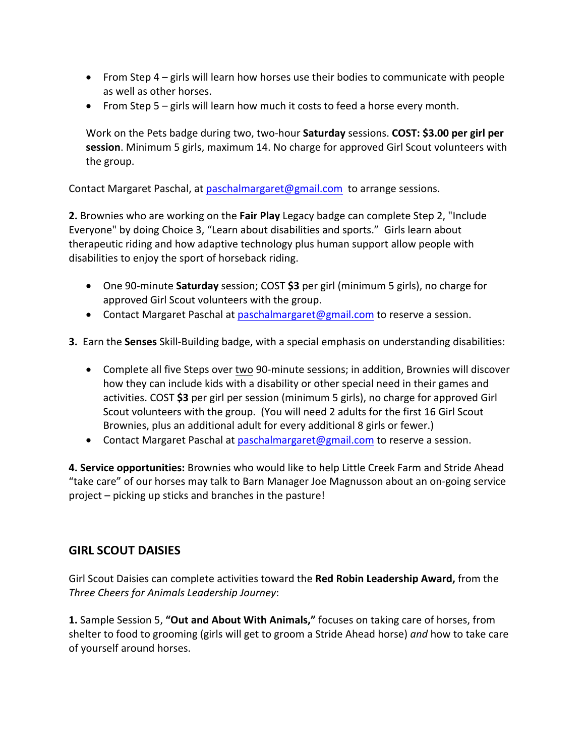- From Step  $4 -$  girls will learn how horses use their bodies to communicate with people as well as other horses.
- From Step  $5 -$  girls will learn how much it costs to feed a horse every month.

Work on the Pets badge during two, two-hour **Saturday** sessions. **COST: \$3.00 per girl per session**. Minimum 5 girls, maximum 14. No charge for approved Girl Scout volunteers with the group.

Contact Margaret Paschal, at paschalmargaret@gmail.com to arrange sessions.

**2.** Brownies who are working on the **Fair Play** Legacy badge can complete Step 2, "Include Everyone" by doing Choice 3, "Learn about disabilities and sports." Girls learn about therapeutic riding and how adaptive technology plus human support allow people with disabilities to enjoy the sport of horseback riding.

- One 90-minute **Saturday** session; COST \$3 per girl (minimum 5 girls), no charge for approved Girl Scout volunteers with the group.
- Contact Margaret Paschal at paschalmargaret@gmail.com to reserve a session.

**3.** Earn the **Senses** Skill-Building badge, with a special emphasis on understanding disabilities:

- Complete all five Steps over two 90-minute sessions; in addition, Brownies will discover how they can include kids with a disability or other special need in their games and activities. COST **\$3** per girl per session (minimum 5 girls), no charge for approved Girl Scout volunteers with the group. (You will need 2 adults for the first 16 Girl Scout Brownies, plus an additional adult for every additional 8 girls or fewer.)
- Contact Margaret Paschal at paschalmargaret@gmail.com to reserve a session.

4. Service opportunities: Brownies who would like to help Little Creek Farm and Stride Ahead "take care" of our horses may talk to Barn Manager Joe Magnusson about an on-going service project  $-$  picking up sticks and branches in the pasture!

#### **GIRL SCOUT DAISIES**

Girl Scout Daisies can complete activities toward the **Red Robin Leadership Award,** from the *Three Cheers for Animals Leadership Journey*:

**1.** Sample Session 5, "Out and About With Animals," focuses on taking care of horses, from shelter to food to grooming (girls will get to groom a Stride Ahead horse) *and* how to take care of yourself around horses.